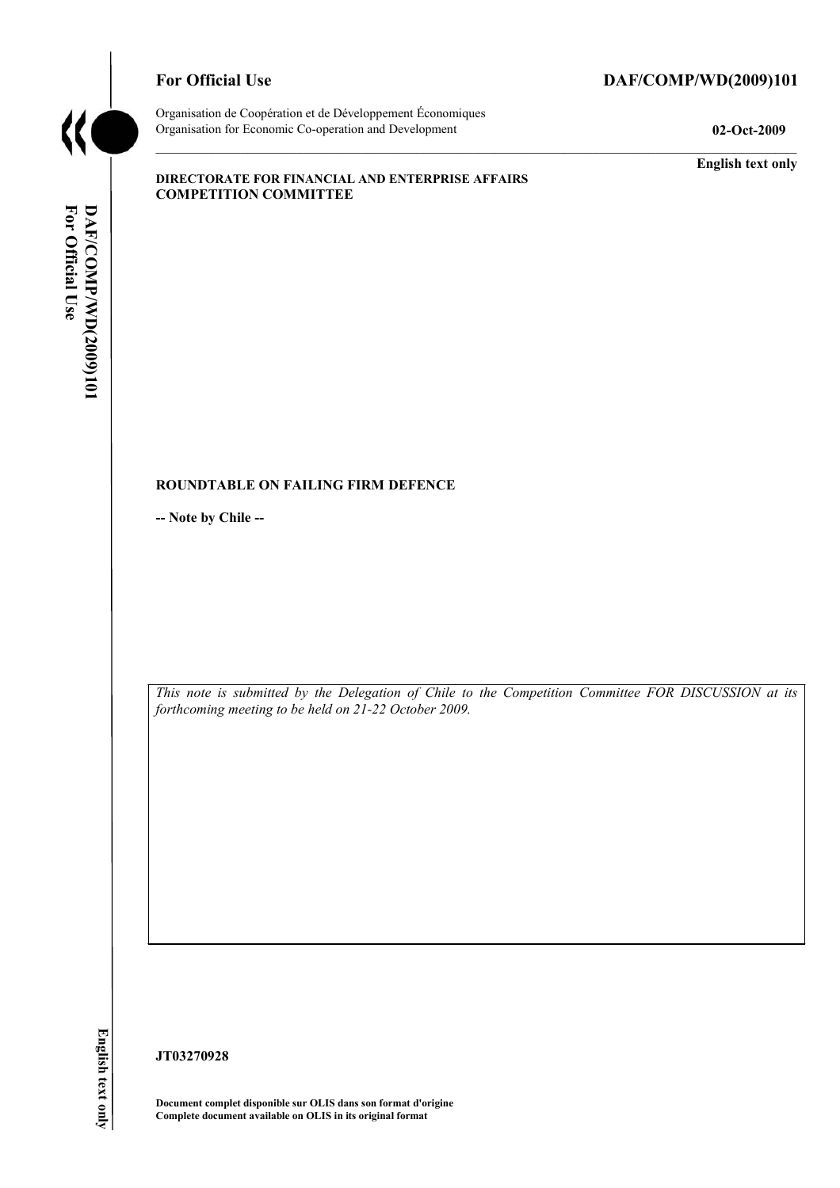

# For Official Use DAF/COMP/WD(2009)101

Organisation de Coopération et de Développement Économiques Organisation for Economic Co-operation and Development **02-Oct-2009** 

**English text only** 

#### **DIRECTORATE FOR FINANCIAL AND ENTERPRISE AFFAIRS COMPETITION COMMITTEE**

#### **ROUNDTABLE ON FAILING FIRM DEFENCE**

**-- Note by Chile --** 

*This note is submitted by the Delegation of Chile to the Competition Committee FOR DISCUSSION at its forthcoming meeting to be held on 21-22 October 2009.* 

English text only

**JT03270928** 

**Document complet disponible sur OLIS dans son format d'origine Complete document available on OLIS in its original format**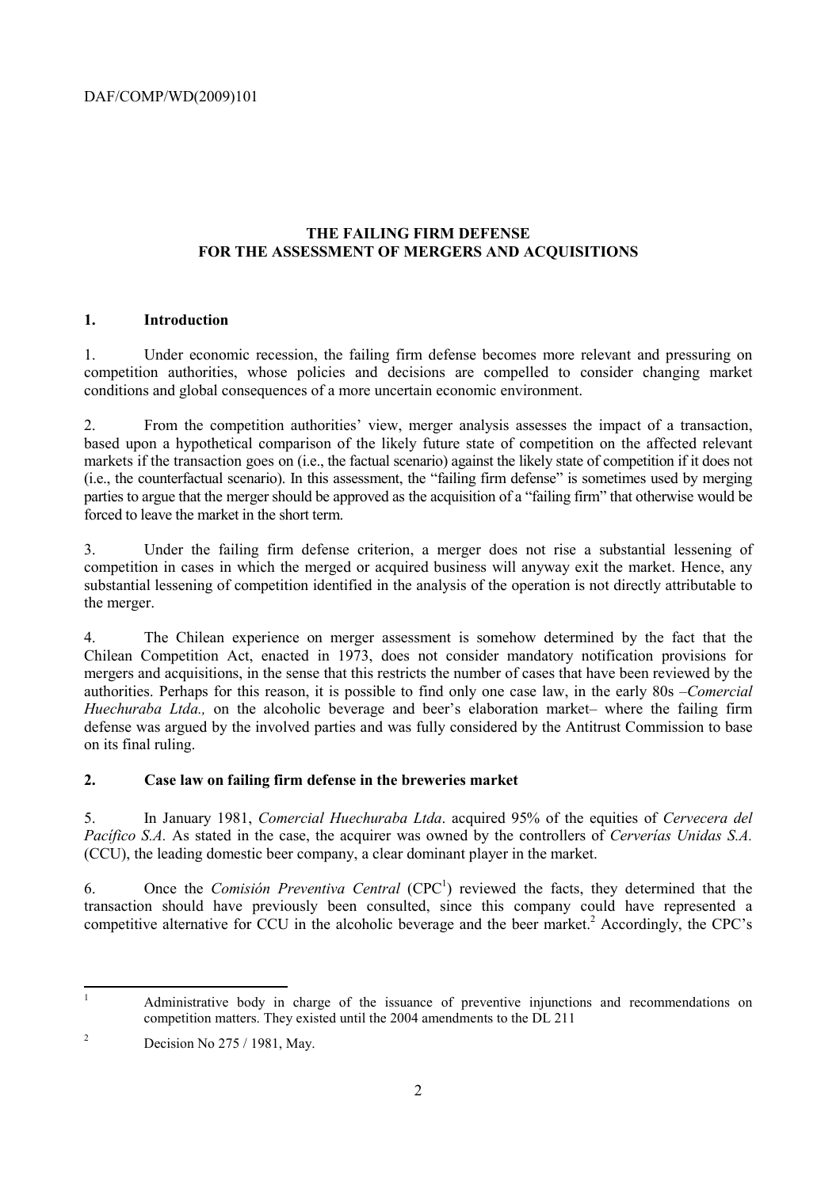# **THE FAILING FIRM DEFENSE FOR THE ASSESSMENT OF MERGERS AND ACQUISITIONS**

## **1. Introduction**

1. Under economic recession, the failing firm defense becomes more relevant and pressuring on competition authorities, whose policies and decisions are compelled to consider changing market conditions and global consequences of a more uncertain economic environment.

2. From the competition authorities' view, merger analysis assesses the impact of a transaction, based upon a hypothetical comparison of the likely future state of competition on the affected relevant markets if the transaction goes on (i.e., the factual scenario) against the likely state of competition if it does not (i.e., the counterfactual scenario). In this assessment, the "failing firm defense" is sometimes used by merging parties to argue that the merger should be approved as the acquisition of a "failing firm" that otherwise would be forced to leave the market in the short term.

3. Under the failing firm defense criterion, a merger does not rise a substantial lessening of competition in cases in which the merged or acquired business will anyway exit the market. Hence, any substantial lessening of competition identified in the analysis of the operation is not directly attributable to the merger.

4. The Chilean experience on merger assessment is somehow determined by the fact that the Chilean Competition Act, enacted in 1973, does not consider mandatory notification provisions for mergers and acquisitions, in the sense that this restricts the number of cases that have been reviewed by the authorities. Perhaps for this reason, it is possible to find only one case law, in the early 80s –*Comercial Huechuraba Ltda.,* on the alcoholic beverage and beer's elaboration market– where the failing firm defense was argued by the involved parties and was fully considered by the Antitrust Commission to base on its final ruling.

# **2. Case law on failing firm defense in the breweries market**

5. In January 1981, *Comercial Huechuraba Ltda*. acquired 95% of the equities of *Cervecera del Pacífico S.A.* As stated in the case, the acquirer was owned by the controllers of *Cerverías Unidas S.A.*  (CCU), the leading domestic beer company, a clear dominant player in the market.

6. Once the *Comisión Preventiva Central* (CPC<sup>1</sup>) reviewed the facts, they determined that the transaction should have previously been consulted, since this company could have represented a competitive alternative for CCU in the alcoholic beverage and the beer market.<sup>2</sup> Accordingly, the CPC's

 $\frac{1}{1}$  Administrative body in charge of the issuance of preventive injunctions and recommendations on competition matters. They existed until the 2004 amendments to the DL 211

 $\overline{2}$ Decision No 275 / 1981, May.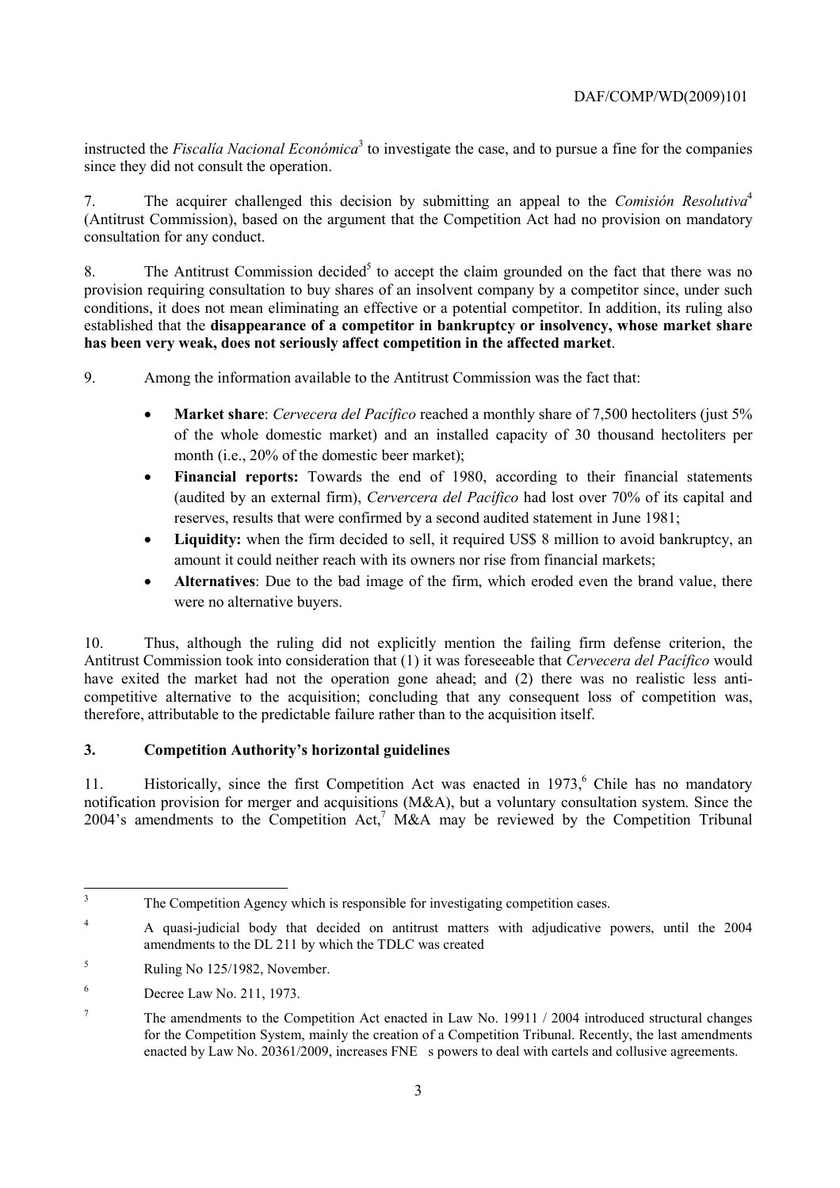instructed the *Fiscalia Nacional Económica*<sup>3</sup> to investigate the case, and to pursue a fine for the companies since they did not consult the operation.

7. The acquirer challenged this decision by submitting an appeal to the *Comisión Resolutiva*<sup>4</sup> (Antitrust Commission), based on the argument that the Competition Act had no provision on mandatory consultation for any conduct.

8. The Antitrust Commission decided<sup>5</sup> to accept the claim grounded on the fact that there was no provision requiring consultation to buy shares of an insolvent company by a competitor since, under such conditions, it does not mean eliminating an effective or a potential competitor. In addition, its ruling also established that the **disappearance of a competitor in bankruptcy or insolvency, whose market share has been very weak, does not seriously affect competition in the affected market**.

9. Among the information available to the Antitrust Commission was the fact that:

- **Market share**: *Cervecera del Pacífico* reached a monthly share of 7,500 hectoliters (just 5% of the whole domestic market) and an installed capacity of 30 thousand hectoliters per month (i.e., 20% of the domestic beer market);
- **Financial reports:** Towards the end of 1980, according to their financial statements (audited by an external firm), *Cervercera del Pacífico* had lost over 70% of its capital and reserves, results that were confirmed by a second audited statement in June 1981;
- Liquidity: when the firm decided to sell, it required US\$ 8 million to avoid bankruptcy, an amount it could neither reach with its owners nor rise from financial markets;
- **Alternatives**: Due to the bad image of the firm, which eroded even the brand value, there were no alternative buyers.

10. Thus, although the ruling did not explicitly mention the failing firm defense criterion, the Antitrust Commission took into consideration that (1) it was foreseeable that *Cervecera del Pacífico* would have exited the market had not the operation gone ahead; and (2) there was no realistic less anticompetitive alternative to the acquisition; concluding that any consequent loss of competition was, therefore, attributable to the predictable failure rather than to the acquisition itself.

### **3. Competition Authority's horizontal guidelines**

11. Historically, since the first Competition Act was enacted in 1973,<sup>6</sup> Chile has no mandatory notification provision for merger and acquisitions (M&A), but a voluntary consultation system. Since the 2004's amendments to the Competition Act,<sup>7</sup> M&A may be reviewed by the Competition Tribunal

3

The Competition Agency which is responsible for investigating competition cases.

<sup>&</sup>lt;sup>4</sup> A quasi-judicial body that decided on antitrust matters with adjudicative powers, until the 2004 amendments to the DL 211 by which the TDLC was created

<sup>5</sup> Ruling No 125/1982, November.

<sup>6</sup> Decree Law No. 211, 1973.

<sup>7</sup> The amendments to the Competition Act enacted in Law No. 19911 / 2004 introduced structural changes for the Competition System, mainly the creation of a Competition Tribunal. Recently, the last amendments enacted by Law No. 20361/2009, increases FNE s powers to deal with cartels and collusive agreements.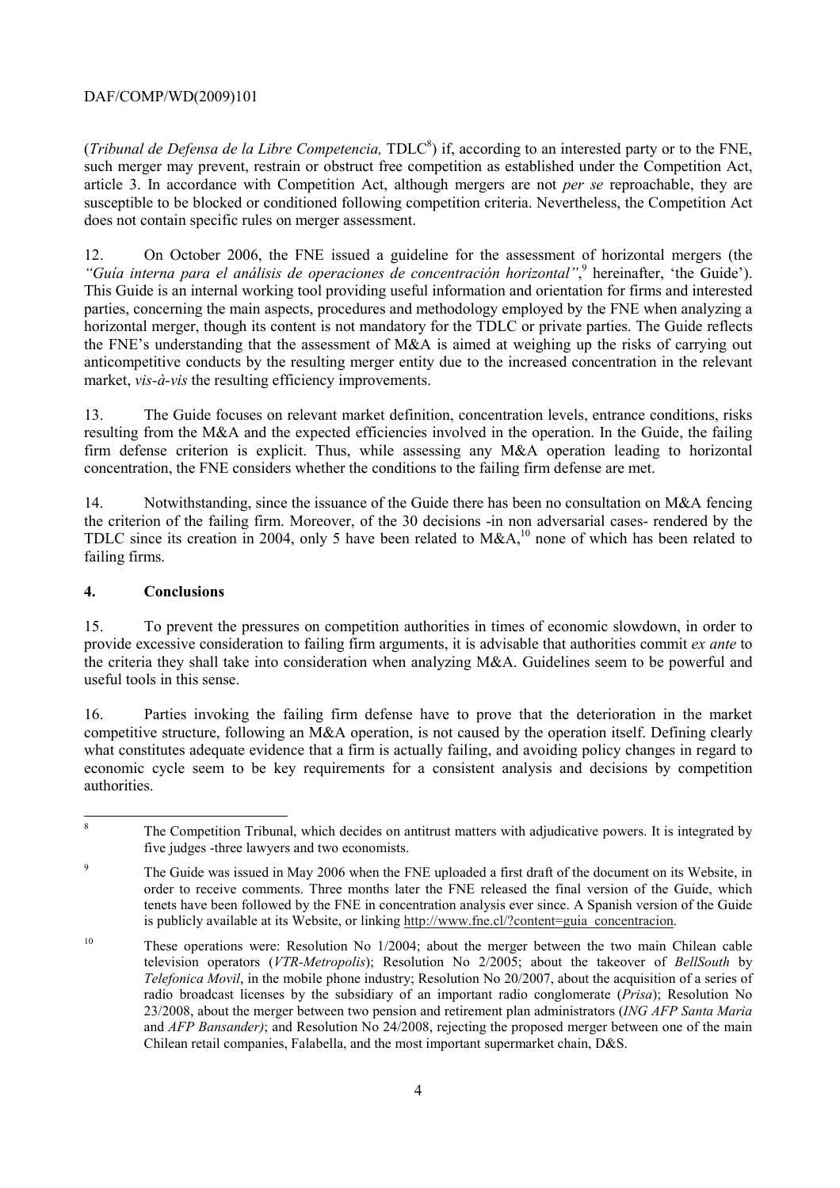# DAF/COMP/WD(2009)101

(*Tribunal de Defensa de la Libre Competencia*, TDLC<sup>8</sup>) if, according to an interested party or to the FNE, such merger may prevent, restrain or obstruct free competition as established under the Competition Act, article 3. In accordance with Competition Act, although mergers are not *per se* reproachable, they are susceptible to be blocked or conditioned following competition criteria. Nevertheless, the Competition Act does not contain specific rules on merger assessment.

12. On October 2006, the FNE issued a guideline for the assessment of horizontal mergers (the "Guía interna para el análisis de operaciones de concentración horizontal",<sup>9</sup> hereinafter, 'the Guide'). This Guide is an internal working tool providing useful information and orientation for firms and interested parties, concerning the main aspects, procedures and methodology employed by the FNE when analyzing a horizontal merger, though its content is not mandatory for the TDLC or private parties. The Guide reflects the FNE's understanding that the assessment of M&A is aimed at weighing up the risks of carrying out anticompetitive conducts by the resulting merger entity due to the increased concentration in the relevant market, *vis-à-vis* the resulting efficiency improvements.

13. The Guide focuses on relevant market definition, concentration levels, entrance conditions, risks resulting from the M&A and the expected efficiencies involved in the operation. In the Guide, the failing firm defense criterion is explicit. Thus, while assessing any M&A operation leading to horizontal concentration, the FNE considers whether the conditions to the failing firm defense are met.

14. Notwithstanding, since the issuance of the Guide there has been no consultation on M&A fencing the criterion of the failing firm. Moreover, of the 30 decisions -in non adversarial cases- rendered by the TDLC since its creation in 2004, only 5 have been related to M&A,<sup>10</sup> none of which has been related to failing firms.

## **4. Conclusions**

15. To prevent the pressures on competition authorities in times of economic slowdown, in order to provide excessive consideration to failing firm arguments, it is advisable that authorities commit *ex ante* to the criteria they shall take into consideration when analyzing M&A. Guidelines seem to be powerful and useful tools in this sense.

16. Parties invoking the failing firm defense have to prove that the deterioration in the market competitive structure, following an M&A operation, is not caused by the operation itself. Defining clearly what constitutes adequate evidence that a firm is actually failing, and avoiding policy changes in regard to economic cycle seem to be key requirements for a consistent analysis and decisions by competition authorities.

 8 The Competition Tribunal, which decides on antitrust matters with adjudicative powers. It is integrated by five judges -three lawyers and two economists.

<sup>9</sup> The Guide was issued in May 2006 when the FNE uploaded a first draft of the document on its Website, in order to receive comments. Three months later the FNE released the final version of the Guide, which tenets have been followed by the FNE in concentration analysis ever since. A Spanish version of the Guide is publicly available at its Website, or linking http://www.fne.cl/?content=guia\_concentracion.

<sup>&</sup>lt;sup>10</sup> These operations were: Resolution No 1/2004; about the merger between the two main Chilean cable television operators (*VTR-Metropolis*); Resolution No 2/2005; about the takeover of *BellSouth* by *Telefonica Movil*, in the mobile phone industry; Resolution No 20/2007, about the acquisition of a series of radio broadcast licenses by the subsidiary of an important radio conglomerate (*Prisa*); Resolution No 23/2008, about the merger between two pension and retirement plan administrators (*ING AFP Santa Maria* and *AFP Bansander)*; and Resolution No 24/2008, rejecting the proposed merger between one of the main Chilean retail companies, Falabella, and the most important supermarket chain, D&S.